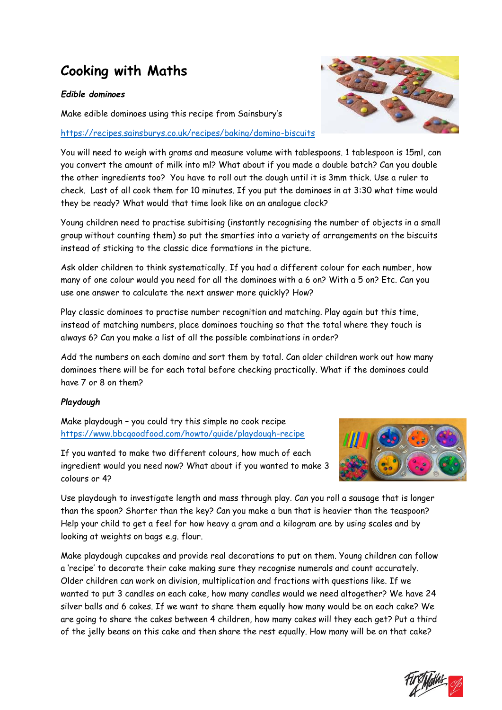# **Cooking with Maths**

### *Edible dominoes*

Make edible dominoes using this recipe from Sainsbury's

# <https://recipes.sainsburys.co.uk/recipes/baking/domino-biscuits>

You will need to weigh with grams and measure volume with tablespoons. 1 tablespoon is 15ml, can you convert the amount of milk into ml? What about if you made a double batch? Can you double the other ingredients too? You have to roll out the dough until it is 3mm thick. Use a ruler to check. Last of all cook them for 10 minutes. If you put the dominoes in at 3:30 what time would they be ready? What would that time look like on an analogue clock?

Young children need to practise subitising (instantly recognising the number of objects in a small group without counting them) so put the smarties into a variety of arrangements on the biscuits instead of sticking to the classic dice formations in the picture.

Ask older children to think systematically. If you had a different colour for each number, how many of one colour would you need for all the dominoes with a 6 on? With a 5 on? Etc. Can you use one answer to calculate the next answer more quickly? How?

Play classic dominoes to practise number recognition and matching. Play again but this time, instead of matching numbers, place dominoes touching so that the total where they touch is always 6? Can you make a list of all the possible combinations in order?

Add the numbers on each domino and sort them by total. Can older children work out how many dominoes there will be for each total before checking practically. What if the dominoes could have 7 or 8 on them?

# *Playdough*

Make playdough – you could try this simple no cook recipe <https://www.bbcgoodfood.com/howto/guide/playdough-recipe>



If you wanted to make two different colours, how much of each ingredient would you need now? What about if you wanted to make 3 colours or 4?

Use playdough to investigate length and mass through play. Can you roll a sausage that is longer than the spoon? Shorter than the key? Can you make a bun that is heavier than the teaspoon? Help your child to get a feel for how heavy a gram and a kilogram are by using scales and by looking at weights on bags e.g. flour.

Make playdough cupcakes and provide real decorations to put on them. Young children can follow a 'recipe' to decorate their cake making sure they recognise numerals and count accurately. Older children can work on division, multiplication and fractions with questions like. If we wanted to put 3 candles on each cake, how many candles would we need altogether? We have 24 silver balls and 6 cakes. If we want to share them equally how many would be on each cake? We are going to share the cakes between 4 children, how many cakes will they each get? Put a third of the jelly beans on this cake and then share the rest equally. How many will be on that cake?